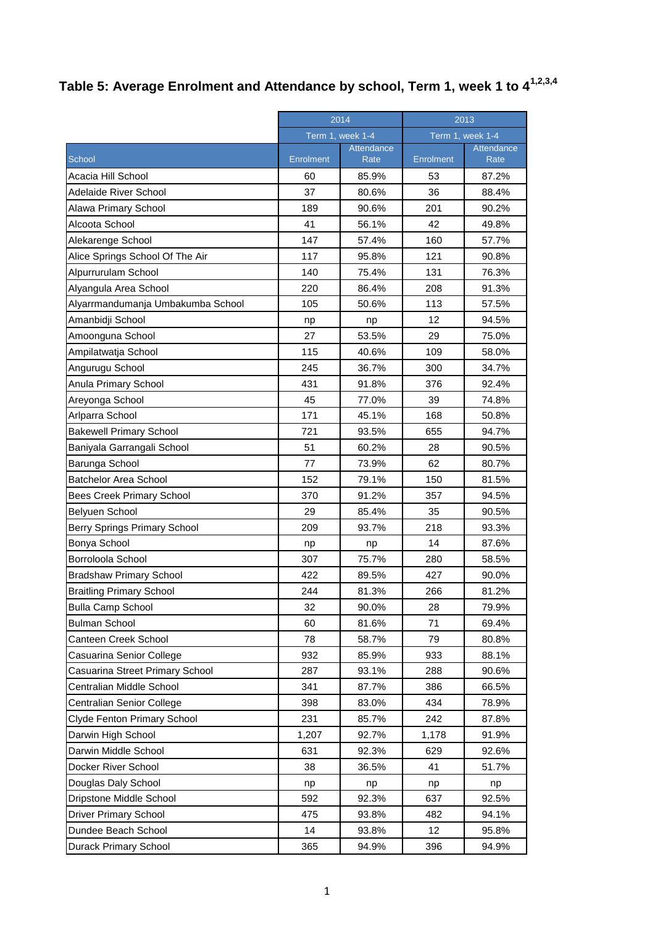## **Table 5: Average Enrolment and Attendance by school, Term 1, week 1 to 41,2,3,4**

|                                   | 2014             |                    | 2013             |                    |
|-----------------------------------|------------------|--------------------|------------------|--------------------|
|                                   | Term 1, week 1-4 |                    | Term 1, week 1-4 |                    |
| School                            | Enrolment        | Attendance<br>Rate | <b>Enrolment</b> | Attendance<br>Rate |
| Acacia Hill School                | 60               | 85.9%              | 53               | 87.2%              |
| <b>Adelaide River School</b>      | 37               | 80.6%              | 36               | 88.4%              |
| Alawa Primary School              | 189              | 90.6%              | 201              | 90.2%              |
| Alcoota School                    | 41               | 56.1%              | 42               | 49.8%              |
| Alekarenge School                 | 147              | 57.4%              | 160              | 57.7%              |
| Alice Springs School Of The Air   | 117              | 95.8%              | 121              | 90.8%              |
| Alpurrurulam School               | 140              | 75.4%              | 131              | 76.3%              |
| Alyangula Area School             | 220              | 86.4%              | 208              | 91.3%              |
| Alyarrmandumanja Umbakumba School | 105              | 50.6%              | 113              | 57.5%              |
| Amanbidji School                  | np               | np                 | 12               | 94.5%              |
| Amoonguna School                  | 27               | 53.5%              | 29               | 75.0%              |
| Ampilatwatja School               | 115              | 40.6%              | 109              | 58.0%              |
| Angurugu School                   | 245              | 36.7%              | 300              | 34.7%              |
| Anula Primary School              | 431              | 91.8%              | 376              | 92.4%              |
| Areyonga School                   | 45               | 77.0%              | 39               | 74.8%              |
| Arlparra School                   | 171              | 45.1%              | 168              | 50.8%              |
| <b>Bakewell Primary School</b>    | 721              | 93.5%              | 655              | 94.7%              |
| Baniyala Garrangali School        | 51               | 60.2%              | 28               | 90.5%              |
| Barunga School                    | 77               | 73.9%              | 62               | 80.7%              |
| <b>Batchelor Area School</b>      | 152              | 79.1%              | 150              | 81.5%              |
| <b>Bees Creek Primary School</b>  | 370              | 91.2%              | 357              | 94.5%              |
| Belyuen School                    | 29               | 85.4%              | 35               | 90.5%              |
| Berry Springs Primary School      | 209              | 93.7%              | 218              | 93.3%              |
| Bonya School                      | np               | np                 | 14               | 87.6%              |
| Borroloola School                 | 307              | 75.7%              | 280              | 58.5%              |
| <b>Bradshaw Primary School</b>    | 422              | 89.5%              | 427              | 90.0%              |
| <b>Braitling Primary School</b>   | 244              | 81.3%              | 266              | 81.2%              |
| <b>Bulla Camp School</b>          | 32               | 90.0%              | 28               | 79.9%              |
| <b>Bulman School</b>              | 60               | 81.6%              | 71               | 69.4%              |
| Canteen Creek School              | 78               | 58.7%              | 79               | 80.8%              |
| Casuarina Senior College          | 932              | 85.9%              | 933              | 88.1%              |
| Casuarina Street Primary School   | 287              | 93.1%              | 288              | 90.6%              |
| Centralian Middle School          | 341              | 87.7%              | 386              | 66.5%              |
| Centralian Senior College         | 398              | 83.0%              | 434              | 78.9%              |
| Clyde Fenton Primary School       | 231              | 85.7%              | 242              | 87.8%              |
| Darwin High School                | 1,207            | 92.7%              | 1,178            | 91.9%              |
| Darwin Middle School              | 631              | 92.3%              | 629              | 92.6%              |
| Docker River School               | 38               | 36.5%              | 41               | 51.7%              |
| Douglas Daly School               | np               | np                 | np               | np                 |
| Dripstone Middle School           | 592              | 92.3%              | 637              | 92.5%              |
| <b>Driver Primary School</b>      | 475              | 93.8%              | 482              | 94.1%              |
| Dundee Beach School               | 14               | 93.8%              | 12               | 95.8%              |
| Durack Primary School             | 365              | 94.9%              | 396              | 94.9%              |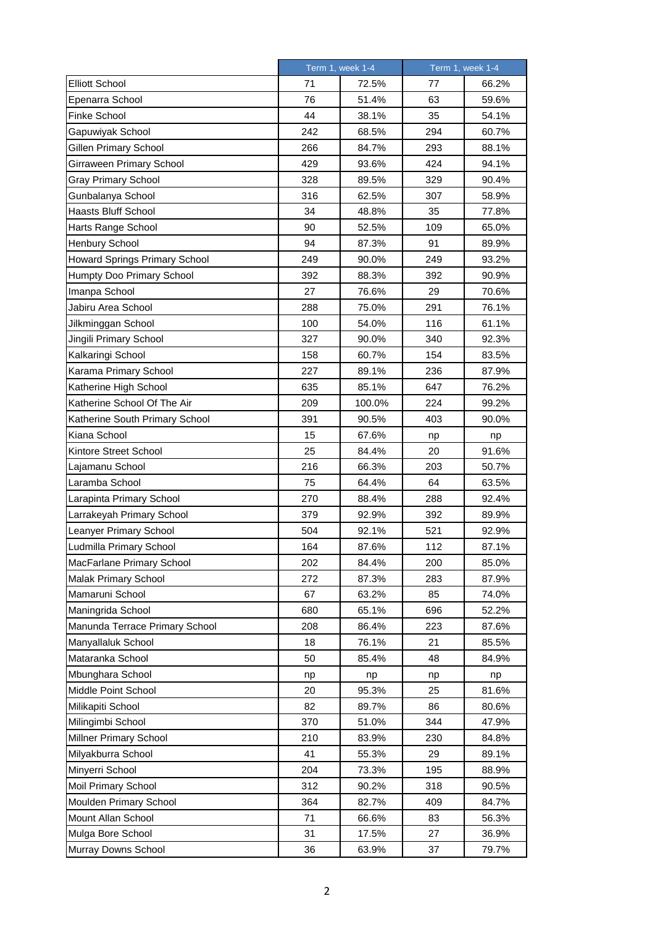|                                | Term 1, week 1-4 |        | Term 1, week 1-4 |       |
|--------------------------------|------------------|--------|------------------|-------|
| <b>Elliott School</b>          | 71               | 72.5%  | 77               | 66.2% |
| Epenarra School                | 76               | 51.4%  | 63               | 59.6% |
| Finke School                   | 44               | 38.1%  | 35               | 54.1% |
| Gapuwiyak School               | 242              | 68.5%  | 294              | 60.7% |
| Gillen Primary School          | 266              | 84.7%  | 293              | 88.1% |
| Girraween Primary School       | 429              | 93.6%  | 424              | 94.1% |
| Gray Primary School            | 328              | 89.5%  | 329              | 90.4% |
| Gunbalanya School              | 316              | 62.5%  | 307              | 58.9% |
| <b>Haasts Bluff School</b>     | 34               | 48.8%  | 35               | 77.8% |
| Harts Range School             | 90               | 52.5%  | 109              | 65.0% |
| Henbury School                 | 94               | 87.3%  | 91               | 89.9% |
| Howard Springs Primary School  | 249              | 90.0%  | 249              | 93.2% |
| Humpty Doo Primary School      | 392              | 88.3%  | 392              | 90.9% |
| Imanpa School                  | 27               | 76.6%  | 29               | 70.6% |
| Jabiru Area School             | 288              | 75.0%  | 291              | 76.1% |
| Jilkminggan School             | 100              | 54.0%  | 116              | 61.1% |
| Jingili Primary School         | 327              | 90.0%  | 340              | 92.3% |
| Kalkaringi School              | 158              | 60.7%  | 154              | 83.5% |
| Karama Primary School          | 227              | 89.1%  | 236              | 87.9% |
| Katherine High School          | 635              | 85.1%  | 647              | 76.2% |
| Katherine School Of The Air    | 209              | 100.0% | 224              | 99.2% |
| Katherine South Primary School | 391              | 90.5%  | 403              | 90.0% |
| Kiana School                   | 15               | 67.6%  | np               | np    |
| Kintore Street School          | 25               | 84.4%  | 20               | 91.6% |
| Lajamanu School                | 216              | 66.3%  | 203              | 50.7% |
| Laramba School                 | 75               | 64.4%  | 64               | 63.5% |
| Larapinta Primary School       | 270              | 88.4%  | 288              | 92.4% |
| Larrakeyah Primary School      | 379              | 92.9%  | 392              | 89.9% |
| Leanyer Primary School         | 504              | 92.1%  | 521              | 92.9% |
| Ludmilla Primary School        | 164              | 87.6%  | 112              | 87.1% |
| MacFarlane Primary School      | 202              | 84.4%  | 200              | 85.0% |
| Malak Primary School           | 272              | 87.3%  | 283              | 87.9% |
| Mamaruni School                | 67               | 63.2%  | 85               | 74.0% |
| Maningrida School              | 680              | 65.1%  | 696              | 52.2% |
| Manunda Terrace Primary School | 208              | 86.4%  | 223              | 87.6% |
| Manyallaluk School             | 18               | 76.1%  | 21               | 85.5% |
| Mataranka School               | 50               | 85.4%  | 48               | 84.9% |
| Mbunghara School               | np               | np     | np               | np    |
| Middle Point School            | 20               | 95.3%  | 25               | 81.6% |
| Milikapiti School              | 82               | 89.7%  | 86               | 80.6% |
| Milingimbi School              | 370              | 51.0%  | 344              | 47.9% |
| Millner Primary School         | 210              | 83.9%  | 230              | 84.8% |
| Milyakburra School             | 41               | 55.3%  | 29               | 89.1% |
| Minyerri School                | 204              | 73.3%  | 195              | 88.9% |
| Moil Primary School            | 312              | 90.2%  | 318              | 90.5% |
| Moulden Primary School         | 364              | 82.7%  | 409              | 84.7% |
| Mount Allan School             | 71               | 66.6%  | 83               | 56.3% |
| Mulga Bore School              | 31               | 17.5%  | 27               | 36.9% |
| Murray Downs School            | 36               | 63.9%  | 37               | 79.7% |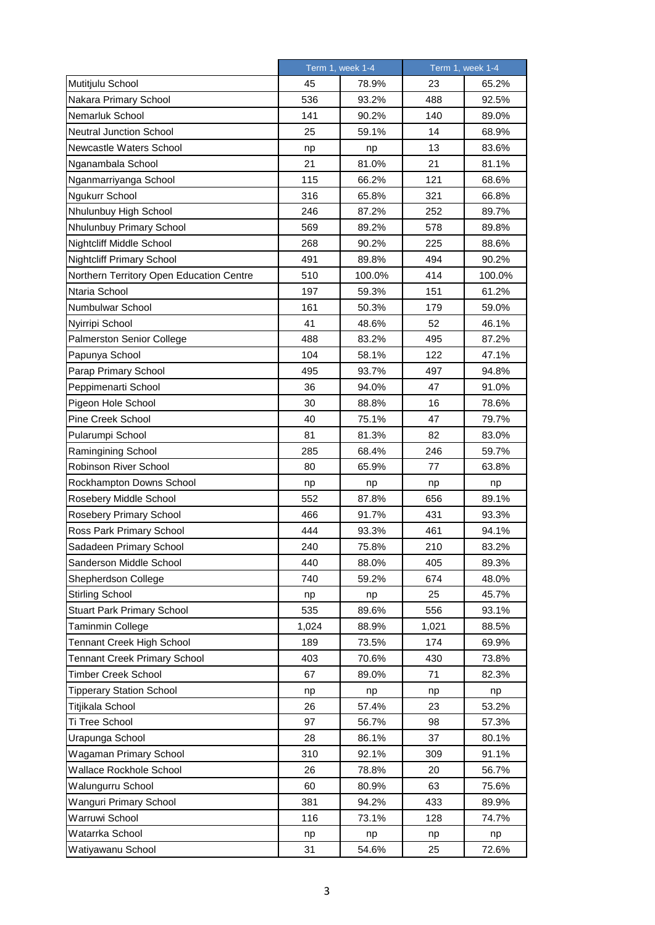|                                          | Term 1, week 1-4 |        | Term 1, week 1-4 |        |
|------------------------------------------|------------------|--------|------------------|--------|
| Mutitjulu School                         | 45               | 78.9%  | 23               | 65.2%  |
| Nakara Primary School                    | 536              | 93.2%  | 488              | 92.5%  |
| Nemarluk School                          | 141              | 90.2%  | 140              | 89.0%  |
| <b>Neutral Junction School</b>           | 25               | 59.1%  | 14               | 68.9%  |
| Newcastle Waters School                  | np               | np     | 13               | 83.6%  |
| Nganambala School                        | 21               | 81.0%  | 21               | 81.1%  |
| Nganmarriyanga School                    | 115              | 66.2%  | 121              | 68.6%  |
| Ngukurr School                           | 316              | 65.8%  | 321              | 66.8%  |
| Nhulunbuy High School                    | 246              | 87.2%  | 252              | 89.7%  |
| Nhulunbuy Primary School                 | 569              | 89.2%  | 578              | 89.8%  |
| Nightcliff Middle School                 | 268              | 90.2%  | 225              | 88.6%  |
| <b>Nightcliff Primary School</b>         | 491              | 89.8%  | 494              | 90.2%  |
| Northern Territory Open Education Centre | 510              | 100.0% | 414              | 100.0% |
| Ntaria School                            | 197              | 59.3%  | 151              | 61.2%  |
| Numbulwar School                         | 161              | 50.3%  | 179              | 59.0%  |
| Nyirripi School                          | 41               | 48.6%  | 52               | 46.1%  |
| <b>Palmerston Senior College</b>         | 488              | 83.2%  | 495              | 87.2%  |
| Papunya School                           | 104              | 58.1%  | 122              | 47.1%  |
| Parap Primary School                     | 495              | 93.7%  | 497              | 94.8%  |
| Peppimenarti School                      | 36               | 94.0%  | 47               | 91.0%  |
| Pigeon Hole School                       | 30               | 88.8%  | 16               | 78.6%  |
| Pine Creek School                        | 40               | 75.1%  | 47               | 79.7%  |
| Pularumpi School                         | 81               | 81.3%  | 82               | 83.0%  |
| Ramingining School                       | 285              | 68.4%  | 246              | 59.7%  |
| Robinson River School                    | 80               | 65.9%  | 77               | 63.8%  |
| Rockhampton Downs School                 | np               | np     | np               | np     |
| Rosebery Middle School                   | 552              | 87.8%  | 656              | 89.1%  |
| Rosebery Primary School                  | 466              | 91.7%  | 431              | 93.3%  |
| Ross Park Primary School                 | 444              | 93.3%  | 461              | 94.1%  |
| Sadadeen Primary School                  | 240              | 75.8%  | 210              | 83.2%  |
| Sanderson Middle School                  | 440              | 88.0%  | 405              | 89.3%  |
| Shepherdson College                      | 740              | 59.2%  | 674              | 48.0%  |
| Stirling School                          | np               | np     | 25               | 45.7%  |
| <b>Stuart Park Primary School</b>        | 535              | 89.6%  | 556              | 93.1%  |
| Taminmin College                         | 1,024            | 88.9%  | 1,021            | 88.5%  |
| Tennant Creek High School                | 189              | 73.5%  | 174              | 69.9%  |
| <b>Tennant Creek Primary School</b>      | 403              | 70.6%  | 430              | 73.8%  |
| <b>Timber Creek School</b>               | 67               | 89.0%  | 71               | 82.3%  |
| <b>Tipperary Station School</b>          | np               | np     | np               | np     |
| Titjikala School                         | 26               | 57.4%  | 23               | 53.2%  |
| Ti Tree School                           | 97               | 56.7%  | 98               | 57.3%  |
| Urapunga School                          | 28               | 86.1%  | 37               | 80.1%  |
| Wagaman Primary School                   | 310              | 92.1%  | 309              | 91.1%  |
| Wallace Rockhole School                  | 26               | 78.8%  | 20               | 56.7%  |
| Walungurru School                        | 60               | 80.9%  | 63               | 75.6%  |
| Wanguri Primary School                   | 381              | 94.2%  | 433              | 89.9%  |
| Warruwi School                           | 116              | 73.1%  | 128              | 74.7%  |
| Watarrka School                          | np               | np     | np               | np     |
| Watiyawanu School                        | 31               | 54.6%  | 25               | 72.6%  |